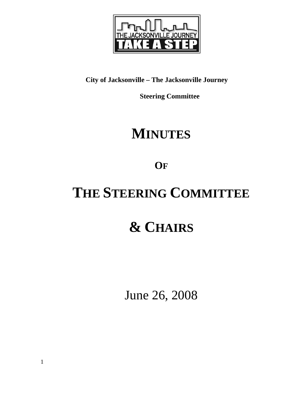

## **City of Jacksonville – The Jacksonville Journey**

 **Steering Committee** 

## **MINUTES**

**OF**

## **THE STEERING COMMITTEE**

# **& CHAIRS**

June 26, 2008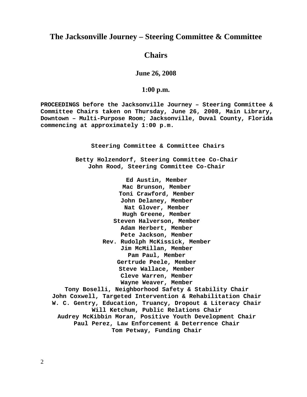## **The Jacksonville Journey – Steering Committee & Committee**

## **Chairs**

### **June 26, 2008**

### **1:00 p.m.**

**PROCEEDINGS before the Jacksonville Journey – Steering Committee & Committee Chairs taken on Thursday, June 26, 2008, Main Library, Downtown – Multi-Purpose Room; Jacksonville, Duval County, Florida commencing at approximately 1:00 p.m.** 

**Steering Committee & Committee Chairs** 

**Betty Holzendorf, Steering Committee Co-Chair John Rood, Steering Committee Co-Chair** 

**Ed Austin, Member Mac Brunson, Member Toni Crawford, Member John Delaney, Member Nat Glover, Member Hugh Greene, Member Steven Halverson, Member Adam Herbert, Member Pete Jackson, Member Rev. Rudolph McKissick, Member Jim McMillan, Member Pam Paul, Member Gertrude Peele, Member Steve Wallace, Member Cleve Warren, Member Wayne Weaver, Member Tony Boselli, Neighborhood Safety & Stability Chair** 

**John Coxwell, Targeted Intervention & Rehabilitation Chair W. C. Gentry, Education, Truancy, Dropout & Literacy Chair Will Ketchum, Public Relations Chair Audrey McKibbin Moran, Positive Youth Development Chair Paul Perez, Law Enforcement & Deterrence Chair Tom Petway, Funding Chair**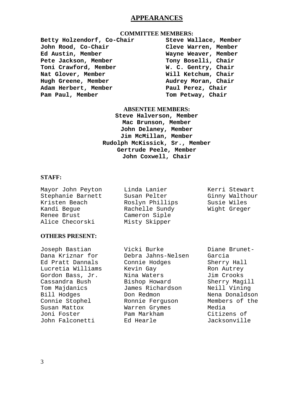## **APPEARANCES**

#### **COMMITTEE MEMBERS:**

**Betty Holzendorf, Co-Chair John Rood, Co-Chair Ed Austin, Member Pete Jackson, Member Toni Crawford, Member Nat Glover, Member Hugh Greene, Member Adam Herbert, Member Pam Paul, Member** 

**Steve Wallace, Member Cleve Warren, Member Wayne Weaver, Member Tony Boselli, Chair W. C. Gentry, Chair Will Ketchum, Chair Audrey Moran, Chair Paul Perez, Chair Tom Petway, Chair** 

#### **ABSENTEE MEMBERS:**

**Steve Halverson, Member Mac Brunson, Member John Delaney, Member Jim McMillan, Member Rudolph McKissick, Sr., Member Gertrude Peele, Member John Coxwell, Chair** 

### **STAFF:**

| Mayor John Peyton | Linda Lanier    |             | Kerri Stewart  |
|-------------------|-----------------|-------------|----------------|
| Stephanie Barnett | Susan Pelter    |             | Ginny Walthour |
| Kristen Beach     | Roslyn Phillips | Susie Wiles |                |
| Kandi Beque       | Rachelle Sundy  |             | Wight Greger   |
| Renee Brust       | Cameron Siple   |             |                |
| Alice Checorski   | Misty Skipper   |             |                |

#### **OTHERS PRESENT:**

Joseph Bastian Dana Kriznar for Ed Pratt Dannals Lucretia Williams Gordon Bass, Jr. Cassandra Bush Tom Majdanics Bill Hodges Connie Stophel Susan Mattox Joni Foster John Falconetti

Vicki Burke Debra Jahns-Nelsen Connie Hodges Kevin Gay Nina Waters Bishop Howard James Richardson Don Redmon Ronnie Ferguson Warren Grymes Pam Markham Ed Hearle

Diane Brunet-Garcia Sherry Hall Ron Autrey Jim Crooks Sherry Magill Neill Vining Nena Donaldson Members of the Media Citizens of Jacksonville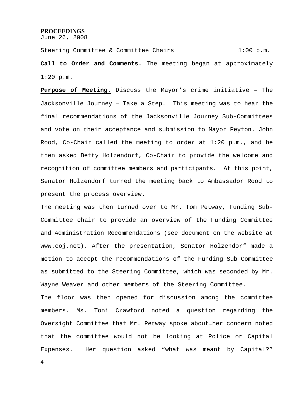#### **PROCEEDINGS**

June 26, 2008

Steering Committee & Committee Chairs 1:00 p.m.

**Call to Order and Comments.** The meeting began at approximately 1:20 p.m.

**Purpose of Meeting.** Discuss the Mayor's crime initiative – The Jacksonville Journey – Take a Step. This meeting was to hear the final recommendations of the Jacksonville Journey Sub-Committees and vote on their acceptance and submission to Mayor Peyton. John Rood, Co-Chair called the meeting to order at 1:20 p.m., and he then asked Betty Holzendorf, Co-Chair to provide the welcome and recognition of committee members and participants. At this point, Senator Holzendorf turned the meeting back to Ambassador Rood to present the process overview.

The meeting was then turned over to Mr. Tom Petway, Funding Sub-Committee chair to provide an overview of the Funding Committee and Administration Recommendations (see document on the website at www.coj.net). After the presentation, Senator Holzendorf made a motion to accept the recommendations of the Funding Sub-Committee as submitted to the Steering Committee, which was seconded by Mr. Wayne Weaver and other members of the Steering Committee.

The floor was then opened for discussion among the committee members. Ms. Toni Crawford noted a question regarding the Oversight Committee that Mr. Petway spoke about…her concern noted that the committee would not be looking at Police or Capital Expenses. Her question asked "what was meant by Capital?"

4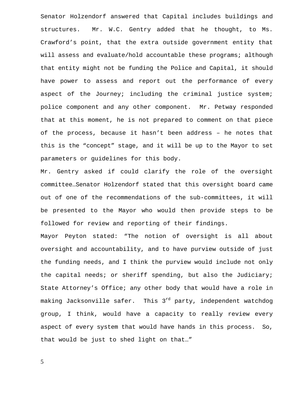Senator Holzendorf answered that Capital includes buildings and structures. Mr. W.C. Gentry added that he thought, to Ms. Crawford's point, that the extra outside government entity that will assess and evaluate/hold accountable these programs; although that entity might not be funding the Police and Capital, it should have power to assess and report out the performance of every aspect of the Journey; including the criminal justice system; police component and any other component. Mr. Petway responded that at this moment, he is not prepared to comment on that piece of the process, because it hasn't been address – he notes that this is the "concept" stage, and it will be up to the Mayor to set parameters or guidelines for this body.

Mr. Gentry asked if could clarify the role of the oversight committee…Senator Holzendorf stated that this oversight board came out of one of the recommendations of the sub-committees, it will be presented to the Mayor who would then provide steps to be followed for review and reporting of their findings.

Mayor Peyton stated: "The notion of oversight is all about oversight and accountability, and to have purview outside of just the funding needs, and I think the purview would include not only the capital needs; or sheriff spending, but also the Judiciary; State Attorney's Office; any other body that would have a role in making Jacksonville safer. This  $3^{rd}$  party, independent watchdog group, I think, would have a capacity to really review every aspect of every system that would have hands in this process. So, that would be just to shed light on that…"

5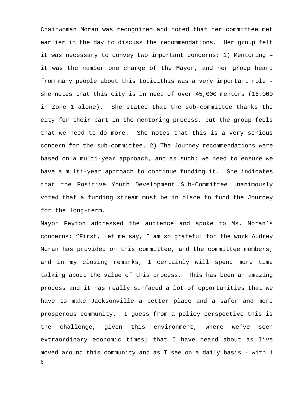Chairwoman Moran was recognized and noted that her committee met earlier in the day to discuss the recommendations. Her group felt it was necessary to convey two important concerns: 1) Mentoring – it was the number one charge of the Mayor, and her group heard from many people about this topic…this was a very important role – she notes that this city is in need of over 45,000 mentors (16,000 in Zone 1 alone). She stated that the sub-committee thanks the city for their part in the mentoring process, but the group feels that we need to do more. She notes that this is a very serious concern for the sub-committee. 2) The Journey recommendations were based on a multi-year approach, and as such; we need to ensure we have a multi-year approach to continue funding it. She indicates that the Positive Youth Development Sub-Committee unanimously voted that a funding stream must be in place to fund the Journey for the long-term.

6 Mayor Peyton addressed the audience and spoke to Ms. Moran's concerns: "First, let me say, I am so grateful for the work Audrey Moran has provided on this committee, and the committee members; and in my closing remarks, I certainly will spend more time talking about the value of this process. This has been an amazing process and it has really surfaced a lot of opportunities that we have to make Jacksonville a better place and a safer and more prosperous community. I guess from a policy perspective this is the challenge, given this environment, where we've seen extraordinary economic times; that I have heard about as I've moved around this community and as I see on a daily basis – with 1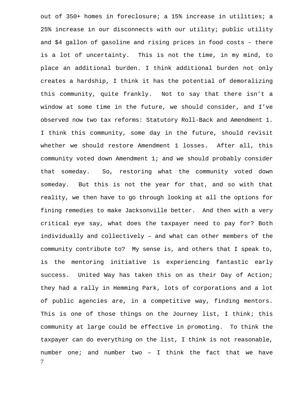7 out of 350+ homes in foreclosure; a 15% increase in utilities; a 25% increase in our disconnects with our utility; public utility and \$4 gallon of gasoline and rising prices in food costs – there is a lot of uncertainty. This is not the time, in my mind, to place an additional burden. I think additional burden not only creates a hardship, I think it has the potential of demoralizing this community, quite frankly. Not to say that there isn't a window at some time in the future, we should consider, and I've observed now two tax reforms: Statutory Roll-Back and Amendment 1. I think this community, some day in the future, should revisit whether we should restore Amendment 1 losses. After all, this community voted down Amendment 1; and we should probably consider that someday. So, restoring what the community voted down someday. But this is not the year for that, and so with that reality, we then have to go through looking at all the options for fining remedies to make Jacksonville better. And then with a very critical eye say, what does the taxpayer need to pay for? Both individually and collectively – and what can other members of the community contribute to? My sense is, and others that I speak to, is the mentoring initiative is experiencing fantastic early success. United Way has taken this on as their Day of Action; they had a rally in Hemming Park, lots of corporations and a lot of public agencies are, in a competitive way, finding mentors. This is one of those things on the Journey list, I think; this community at large could be effective in promoting. To think the taxpayer can do everything on the list, I think is not reasonable, number one; and number two – I think the fact that we have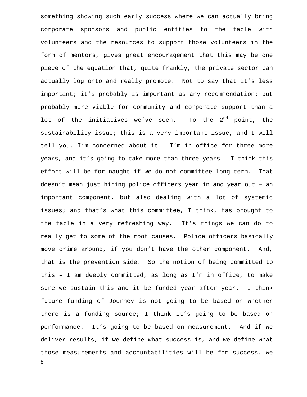8 something showing such early success where we can actually bring corporate sponsors and public entities to the table with volunteers and the resources to support those volunteers in the form of mentors, gives great encouragement that this may be one piece of the equation that, quite frankly, the private sector can actually log onto and really promote. Not to say that it's less important; it's probably as important as any recommendation; but probably more viable for community and corporate support than a lot of the initiatives we've seen. To the  $2^{nd}$  point, the sustainability issue; this is a very important issue, and I will tell you, I'm concerned about it. I'm in office for three more years, and it's going to take more than three years. I think this effort will be for naught if we do not committee long-term. That doesn't mean just hiring police officers year in and year out – an important component, but also dealing with a lot of systemic issues; and that's what this committee, I think, has brought to the table in a very refreshing way. It's things we can do to really get to some of the root causes. Police officers basically move crime around, if you don't have the other component. And, that is the prevention side. So the notion of being committed to this – I am deeply committed, as long as I'm in office, to make sure we sustain this and it be funded year after year. I think future funding of Journey is not going to be based on whether there is a funding source; I think it's going to be based on performance. It's going to be based on measurement. And if we deliver results, if we define what success is, and we define what those measurements and accountabilities will be for success, we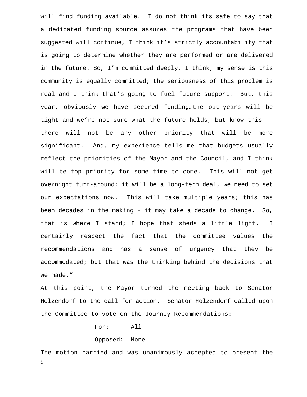will find funding available. I do not think its safe to say that a dedicated funding source assures the programs that have been suggested will continue, I think it's strictly accountability that is going to determine whether they are performed or are delivered in the future. So, I'm committed deeply, I think, my sense is this community is equally committed; the seriousness of this problem is real and I think that's going to fuel future support. But, this year, obviously we have secured funding…the out-years will be tight and we're not sure what the future holds, but know this-- there will not be any other priority that will be more significant. And, my experience tells me that budgets usually reflect the priorities of the Mayor and the Council, and I think will be top priority for some time to come. This will not get overnight turn-around; it will be a long-term deal, we need to set our expectations now. This will take multiple years; this has been decades in the making – it may take a decade to change. So, that is where I stand; I hope that sheds a little light. I certainly respect the fact that the committee values the recommendations and has a sense of urgency that they be accommodated; but that was the thinking behind the decisions that we made."

At this point, the Mayor turned the meeting back to Senator Holzendorf to the call for action. Senator Holzendorf called upon the Committee to vote on the Journey Recommendations:

#### For: All

#### Opposed: None

9 The motion carried and was unanimously accepted to present the